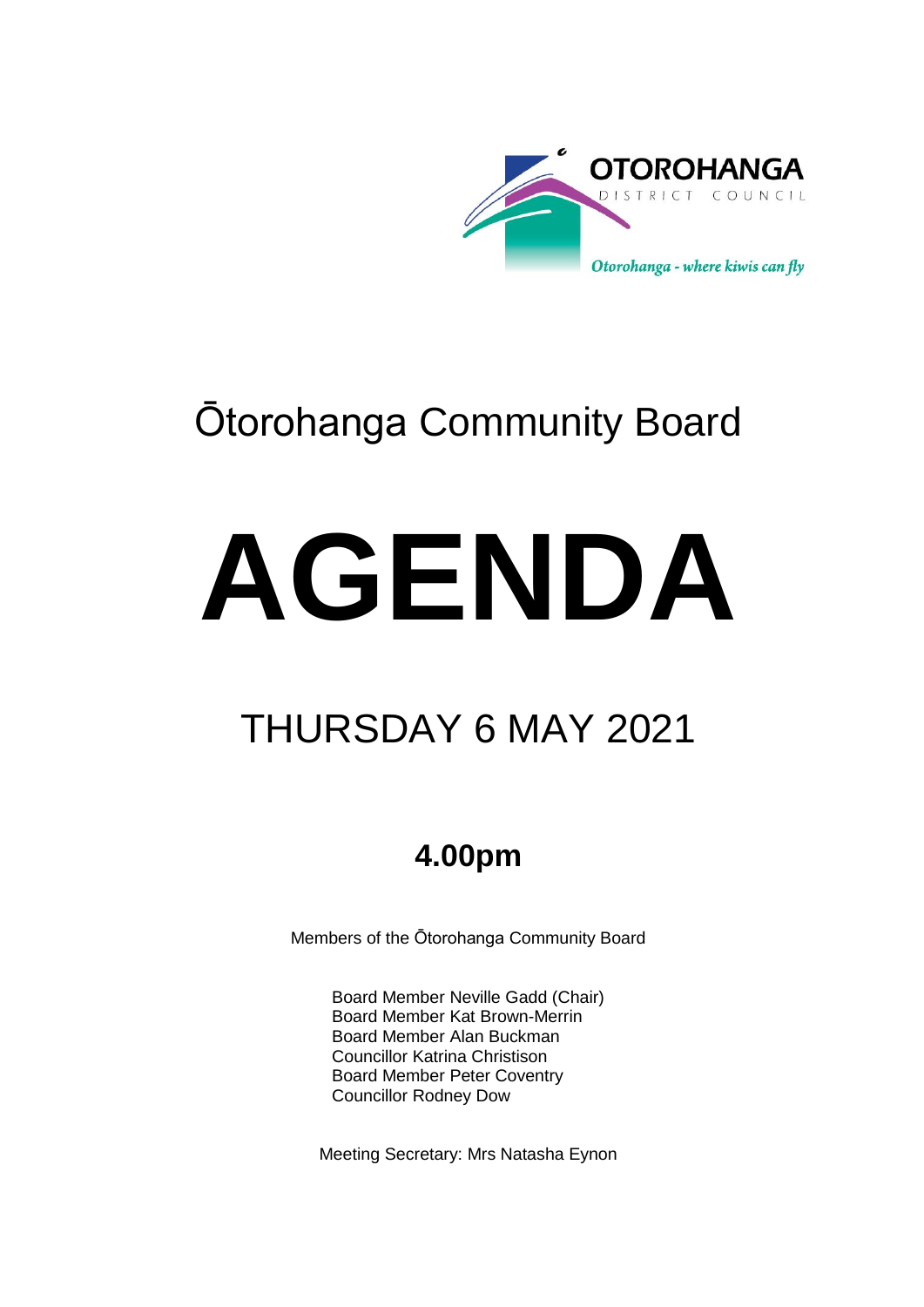

# Ōtorohanga Community Board

# **AGENDA**

## THURSDAY 6 MAY 2021

## **4.00pm**

Members of the Ōtorohanga Community Board

Board Member Neville Gadd (Chair) Board Member Kat Brown-Merrin Board Member Alan Buckman Councillor Katrina Christison Board Member Peter Coventry Councillor Rodney Dow

Meeting Secretary: Mrs Natasha Eynon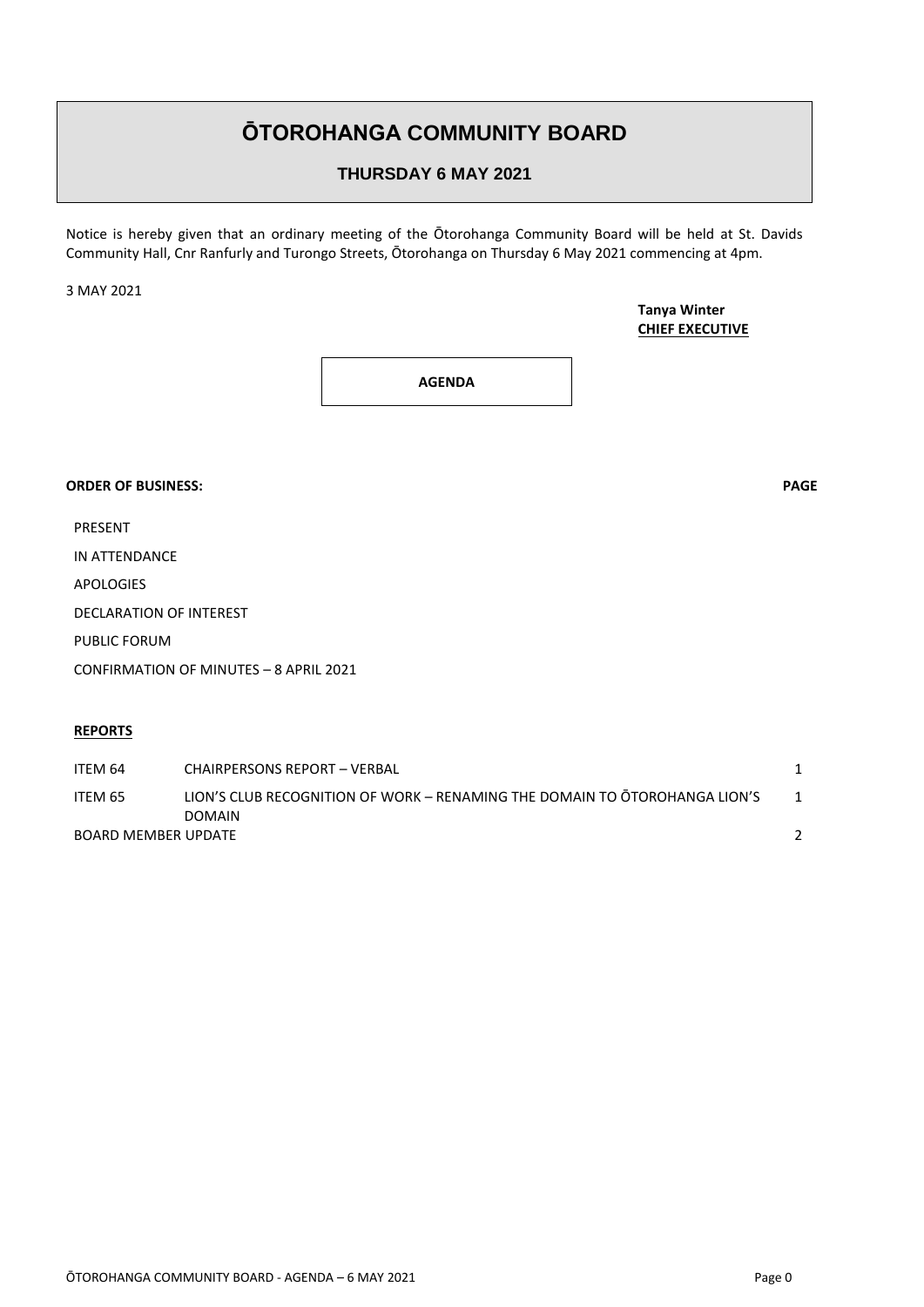### **ŌTOROHANGA COMMUNITY BOARD**

#### **THURSDAY 6 MAY 2021**

Notice is hereby given that an ordinary meeting of the Ōtorohanga Community Board will be held at St. Davids Community Hall, Cnr Ranfurly and Turongo Streets, Ōtorohanga on Thursday 6 May 2021 commencing at 4pm.

3 MAY 2021

**Tanya Winter CHIEF EXECUTIVE**

**AGENDA**

#### **ORDER OF BUSINESS: PAGE**

PRESENT

IN ATTENDANCE

APOLOGIES

DECLARATION OF INTEREST

PUBLIC FORUM

CONFIRMATION OF MINUTES – 8 APRIL 2021

#### **REPORTS**

| ITEM 64                    | CHAIRPERSONS REPORT - VERBAL                                               |  |
|----------------------------|----------------------------------------------------------------------------|--|
| ITEM 65                    | LION'S CLUB RECOGNITION OF WORK – RENAMING THE DOMAIN TO OTOROHANGA LION'S |  |
|                            | <b>DOMAIN</b>                                                              |  |
| <b>BOARD MEMBER UPDATE</b> |                                                                            |  |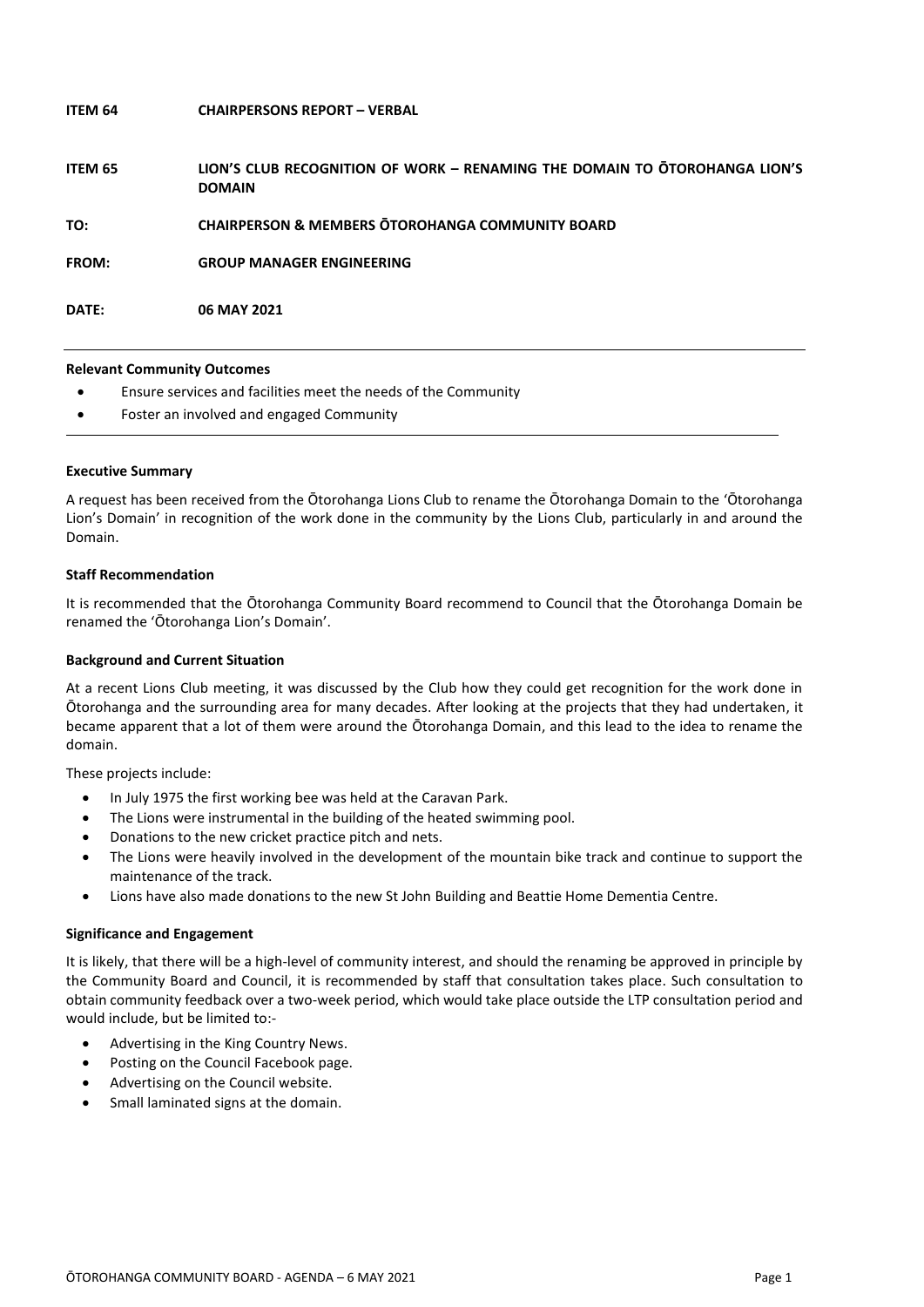| ITEM 64      | <b>CHAIRPERSONS REPORT - VERBAL</b>                                                         |
|--------------|---------------------------------------------------------------------------------------------|
| ITEM 65      | LION'S CLUB RECOGNITION OF WORK - RENAMING THE DOMAIN TO OTOROHANGA LION'S<br><b>DOMAIN</b> |
| TO:          | <b>CHAIRPERSON &amp; MEMBERS OTOROHANGA COMMUNITY BOARD</b>                                 |
| <b>FROM:</b> | <b>GROUP MANAGER ENGINEERING</b>                                                            |
| DATE:        | 06 MAY 2021                                                                                 |
|              |                                                                                             |

#### **Relevant Community Outcomes**

- Ensure services and facilities meet the needs of the Community
- Foster an involved and engaged Community

#### **Executive Summary**

A request has been received from the Ōtorohanga Lions Club to rename the Ōtorohanga Domain to the 'Ōtorohanga Lion's Domain' in recognition of the work done in the community by the Lions Club, particularly in and around the Domain.

#### **Staff Recommendation**

It is recommended that the Ōtorohanga Community Board recommend to Council that the Ōtorohanga Domain be renamed the 'Ōtorohanga Lion's Domain'.

#### **Background and Current Situation**

At a recent Lions Club meeting, it was discussed by the Club how they could get recognition for the work done in Ōtorohanga and the surrounding area for many decades. After looking at the projects that they had undertaken, it became apparent that a lot of them were around the Ōtorohanga Domain, and this lead to the idea to rename the domain.

These projects include:

- In July 1975 the first working bee was held at the Caravan Park.
- The Lions were instrumental in the building of the heated swimming pool.
- Donations to the new cricket practice pitch and nets.
- The Lions were heavily involved in the development of the mountain bike track and continue to support the maintenance of the track.
- Lions have also made donations to the new St John Building and Beattie Home Dementia Centre.

#### **Significance and Engagement**

It is likely, that there will be a high-level of community interest, and should the renaming be approved in principle by the Community Board and Council, it is recommended by staff that consultation takes place. Such consultation to obtain community feedback over a two-week period, which would take place outside the LTP consultation period and would include, but be limited to:-

- Advertising in the King Country News.
- Posting on the Council Facebook page.
- Advertising on the Council website.
- Small laminated signs at the domain.